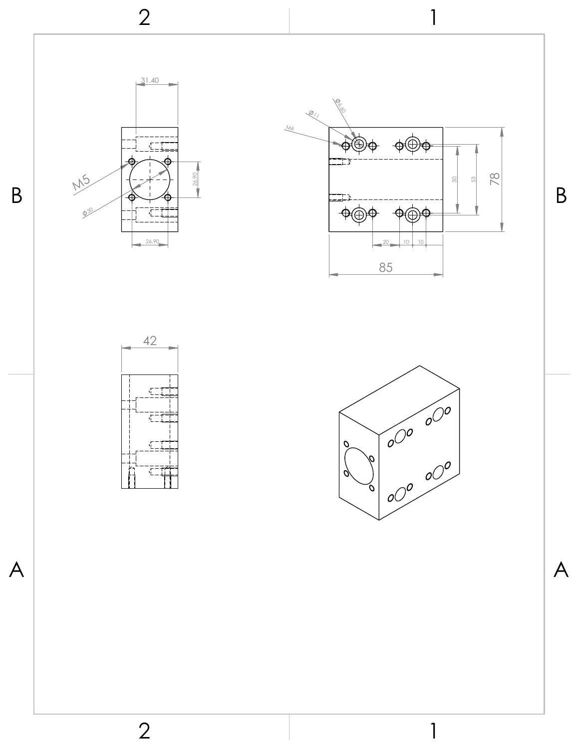



1





1

 $A \mid$   $A$ 

2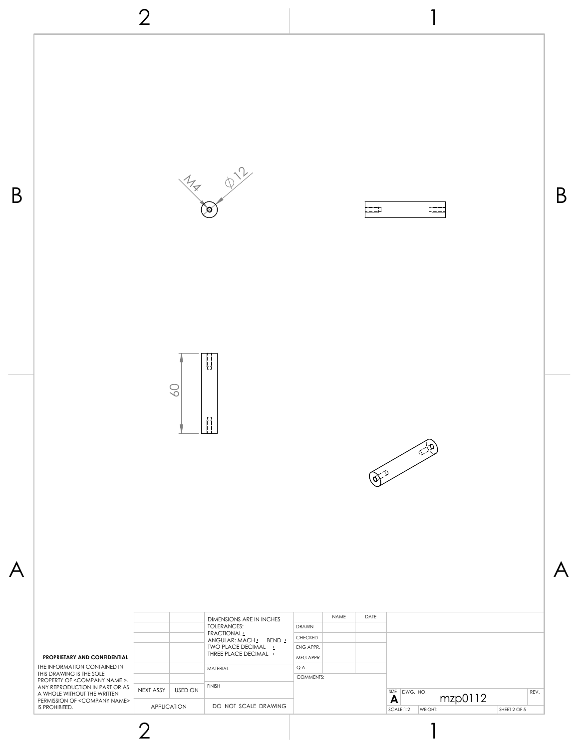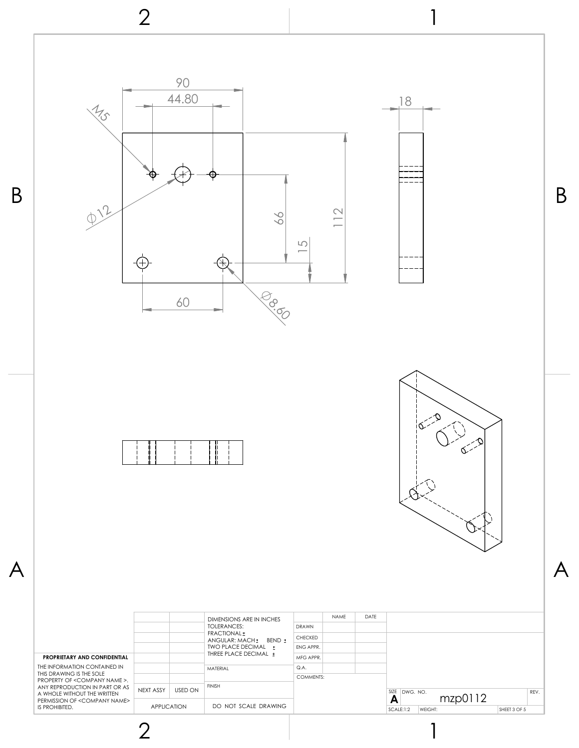

1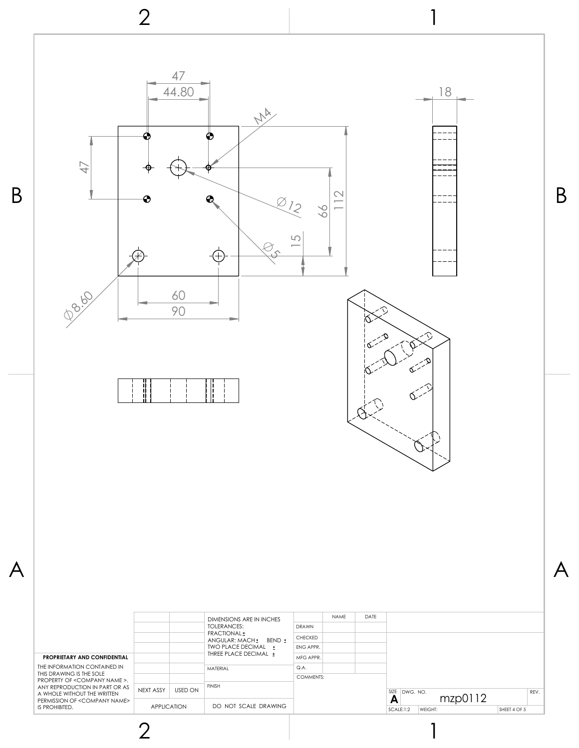